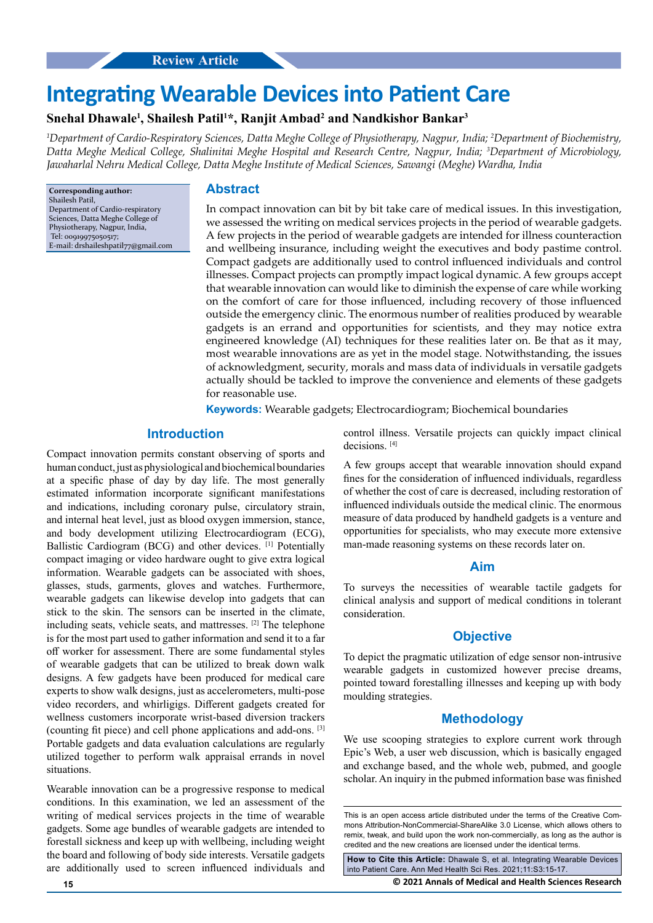# **Integrating Wearable Devices into Patient Care**

## **Snehal Dhawale1 , Shailesh Patil1 \*, Ranjit Ambad2 and Nandkishor Bankar3**

*1 Department of Cardio-Respiratory Sciences, Datta Meghe College of Physiotherapy, Nagpur, India; 2 Department of Biochemistry, Datta Meghe Medical College, Shalinitai Meghe Hospital and Research Centre, Nagpur, India; 3 Department of Microbiology, Jawaharlal Nehru Medical College, Datta Meghe Institute of Medical Sciences, Sawangi (Meghe) Wardha, India*

**Corresponding author:** Shailesh Patil, Department of Cardio-respiratory Sciences, Datta Meghe College of Physiotherapy, Nagpur, India, Tel: 00919975050517; E-mail: [drshaileshpatil77@gmail.com](mailto:drshaileshpatil77@gmail.com)

#### **Abstract**

In compact innovation can bit by bit take care of medical issues. In this investigation, we assessed the writing on medical services projects in the period of wearable gadgets. A few projects in the period of wearable gadgets are intended for illness counteraction and wellbeing insurance, including weight the executives and body pastime control. Compact gadgets are additionally used to control influenced individuals and control illnesses. Compact projects can promptly impact logical dynamic. A few groups accept that wearable innovation can would like to diminish the expense of care while working on the comfort of care for those influenced, including recovery of those influenced outside the emergency clinic. The enormous number of realities produced by wearable gadgets is an errand and opportunities for scientists, and they may notice extra engineered knowledge (AI) techniques for these realities later on. Be that as it may, most wearable innovations are as yet in the model stage. Notwithstanding, the issues of acknowledgment, security, morals and mass data of individuals in versatile gadgets actually should be tackled to improve the convenience and elements of these gadgets for reasonable use.

**Keywords:** Wearable gadgets; Electrocardiogram; Biochemical boundaries

#### **Introduction**

Compact innovation permits constant observing of sports and human conduct, just as physiological and biochemical boundaries at a specific phase of day by day life. The most generally estimated information incorporate significant manifestations and indications, including coronary pulse, circulatory strain, and internal heat level, just as blood oxygen immersion, stance, and body development utilizing Electrocardiogram (ECG), Ballistic Cardiogram (BCG) and other devices. [1] Potentially compact imaging or video hardware ought to give extra logical information. Wearable gadgets can be associated with shoes, glasses, studs, garments, gloves and watches. Furthermore, wearable gadgets can likewise develop into gadgets that can stick to the skin. The sensors can be inserted in the climate, including seats, vehicle seats, and mattresses. [2] The telephone is for the most part used to gather information and send it to a far off worker for assessment. There are some fundamental styles of wearable gadgets that can be utilized to break down walk designs. A few gadgets have been produced for medical care experts to show walk designs, just as accelerometers, multi-pose video recorders, and whirligigs. Different gadgets created for wellness customers incorporate wrist-based diversion trackers (counting fit piece) and cell phone applications and add-ons. [3] Portable gadgets and data evaluation calculations are regularly utilized together to perform walk appraisal errands in novel situations.

Wearable innovation can be a progressive response to medical conditions. In this examination, we led an assessment of the writing of medical services projects in the time of wearable gadgets. Some age bundles of wearable gadgets are intended to forestall sickness and keep up with wellbeing, including weight the board and following of body side interests. Versatile gadgets are additionally used to screen influenced individuals and control illness. Versatile projects can quickly impact clinical decisions. [4]

A few groups accept that wearable innovation should expand fines for the consideration of influenced individuals, regardless of whether the cost of care is decreased, including restoration of influenced individuals outside the medical clinic. The enormous measure of data produced by handheld gadgets is a venture and opportunities for specialists, who may execute more extensive man-made reasoning systems on these records later on.

#### **Aim**

To surveys the necessities of wearable tactile gadgets for clinical analysis and support of medical conditions in tolerant consideration.

#### **Objective**

To depict the pragmatic utilization of edge sensor non-intrusive wearable gadgets in customized however precise dreams, pointed toward forestalling illnesses and keeping up with body moulding strategies.

#### **Methodology**

We use scooping strategies to explore current work through Epic's Web, a user web discussion, which is basically engaged and exchange based, and the whole web, pubmed, and google scholar. An inquiry in the pubmed information base was finished

This is an open access article distributed under the terms of the Creative Commons Attribution-NonCommercial-ShareAlike 3.0 License, which allows others to remix, tweak, and build upon the work non‑commercially, as long as the author is credited and the new creations are licensed under the identical terms.

**How to Cite this Article:** Dhawale S, et al. Integrating Wearable Devices into Patient Care. Ann Med Health Sci Res. 2021;11:S3:15-17.

**15 © 2021 Annals of Medical and Health Sciences Research**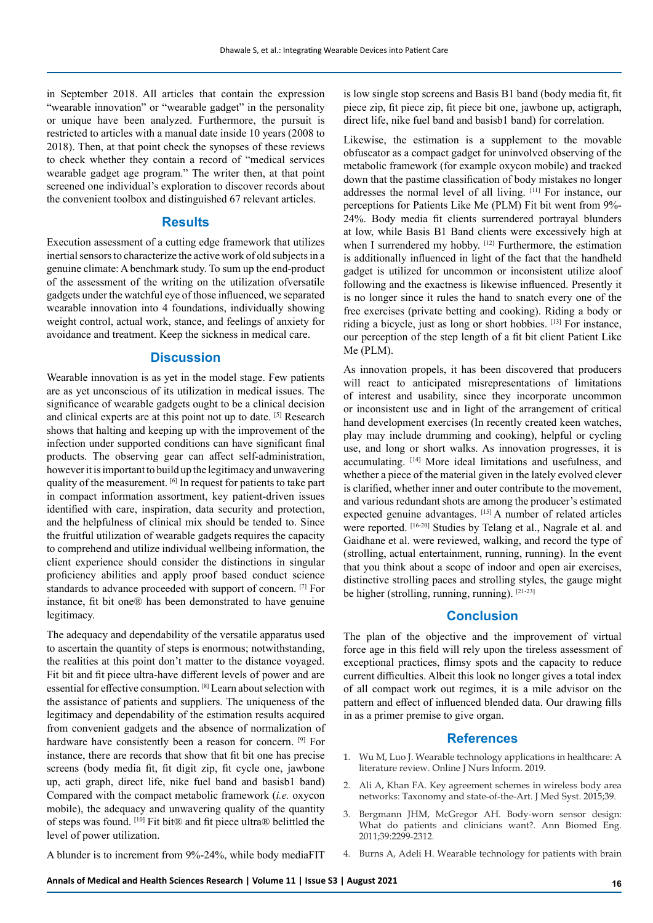in September 2018. All articles that contain the expression "wearable innovation" or "wearable gadget" in the personality or unique have been analyzed. Furthermore, the pursuit is restricted to articles with a manual date inside 10 years (2008 to 2018). Then, at that point check the synopses of these reviews to check whether they contain a record of "medical services wearable gadget age program." The writer then, at that point screened one individual's exploration to discover records about the convenient toolbox and distinguished 67 relevant articles.

## **Results**

Execution assessment of a cutting edge framework that utilizes inertial sensors to characterize the active work of old subjects in a genuine climate: A benchmark study. To sum up the end-product of the assessment of the writing on the utilization ofversatile gadgets under the watchful eye of those influenced, we separated wearable innovation into 4 foundations, individually showing weight control, actual work, stance, and feelings of anxiety for avoidance and treatment. Keep the sickness in medical care.

#### **Discussion**

Wearable innovation is as yet in the model stage. Few patients are as yet unconscious of its utilization in medical issues. The significance of wearable gadgets ought to be a clinical decision and clinical experts are at this point not up to date. [5] Research shows that halting and keeping up with the improvement of the infection under supported conditions can have significant final products. The observing gear can affect self-administration, however it is important to build up the legitimacy and unwavering quality of the measurement. [6] In request for patients to take part in compact information assortment, key patient-driven issues identified with care, inspiration, data security and protection, and the helpfulness of clinical mix should be tended to. Since the fruitful utilization of wearable gadgets requires the capacity to comprehend and utilize individual wellbeing information, the client experience should consider the distinctions in singular proficiency abilities and apply proof based conduct science standards to advance proceeded with support of concern. [7] For instance, fit bit one® has been demonstrated to have genuine legitimacy.

The adequacy and dependability of the versatile apparatus used to ascertain the quantity of steps is enormous; notwithstanding, the realities at this point don't matter to the distance voyaged. Fit bit and fit piece ultra-have different levels of power and are essential for effective consumption. [8] Learn about selection with the assistance of patients and suppliers. The uniqueness of the legitimacy and dependability of the estimation results acquired from convenient gadgets and the absence of normalization of hardware have consistently been a reason for concern. <sup>[9]</sup> For instance, there are records that show that fit bit one has precise screens (body media fit, fit digit zip, fit cycle one, jawbone up, acti graph, direct life, nike fuel band and basisb1 band) Compared with the compact metabolic framework (*i.e.* oxycon mobile), the adequacy and unwavering quality of the quantity of steps was found. [10] Fit bit® and fit piece ultra® belittled the level of power utilization.

A blunder is to increment from 9%-24%, while body mediaFIT

is low single stop screens and Basis B1 band (body media fit, fit piece zip, fit piece zip, fit piece bit one, jawbone up, actigraph, direct life, nike fuel band and basisb1 band) for correlation.

Likewise, the estimation is a supplement to the movable obfuscator as a compact gadget for uninvolved observing of the metabolic framework (for example oxycon mobile) and tracked down that the pastime classification of body mistakes no longer addresses the normal level of all living. [11] For instance, our perceptions for Patients Like Me (PLM) Fit bit went from 9%- 24%. Body media fit clients surrendered portrayal blunders at low, while Basis B1 Band clients were excessively high at when I surrendered my hobby. [12] Furthermore, the estimation is additionally influenced in light of the fact that the handheld gadget is utilized for uncommon or inconsistent utilize aloof following and the exactness is likewise influenced. Presently it is no longer since it rules the hand to snatch every one of the free exercises (private betting and cooking). Riding a body or riding a bicycle, just as long or short hobbies. [13] For instance, our perception of the step length of a fit bit client Patient Like Me (PLM).

As innovation propels, it has been discovered that producers will react to anticipated misrepresentations of limitations of interest and usability, since they incorporate uncommon or inconsistent use and in light of the arrangement of critical hand development exercises (In recently created keen watches, play may include drumming and cooking), helpful or cycling use, and long or short walks. As innovation progresses, it is accumulating. [14] More ideal limitations and usefulness, and whether a piece of the material given in the lately evolved clever is clarified, whether inner and outer contribute to the movement, and various redundant shots are among the producer's estimated expected genuine advantages. [15] A number of related articles were reported. [16-20] Studies by Telang et al., Nagrale et al. and Gaidhane et al. were reviewed, walking, and record the type of (strolling, actual entertainment, running, running). In the event that you think about a scope of indoor and open air exercises, distinctive strolling paces and strolling styles, the gauge might be higher (strolling, running, running). [21-23]

### **Conclusion**

The plan of the objective and the improvement of virtual force age in this field will rely upon the tireless assessment of exceptional practices, flimsy spots and the capacity to reduce current difficulties. Albeit this look no longer gives a total index of all compact work out regimes, it is a mile advisor on the pattern and effect of influenced blended data. Our drawing fills in as a primer premise to give organ.

#### **References**

- 1. Wu M, Luo J. Wearable technology applications in healthcare: A literature review. Online J Nurs Inform. 2019.
- 2. Ali A, Khan FA. Key agreement schemes in wireless body area networks: Taxonomy and state-of-the-Art. J Med Syst. 2015;39.
- 3. Bergmann JHM, McGregor AH. Body-worn sensor design: What do patients and clinicians want?. Ann Biomed Eng. 2011;39:2299-2312.
- 4. Burns A, Adeli H. Wearable technology for patients with brain